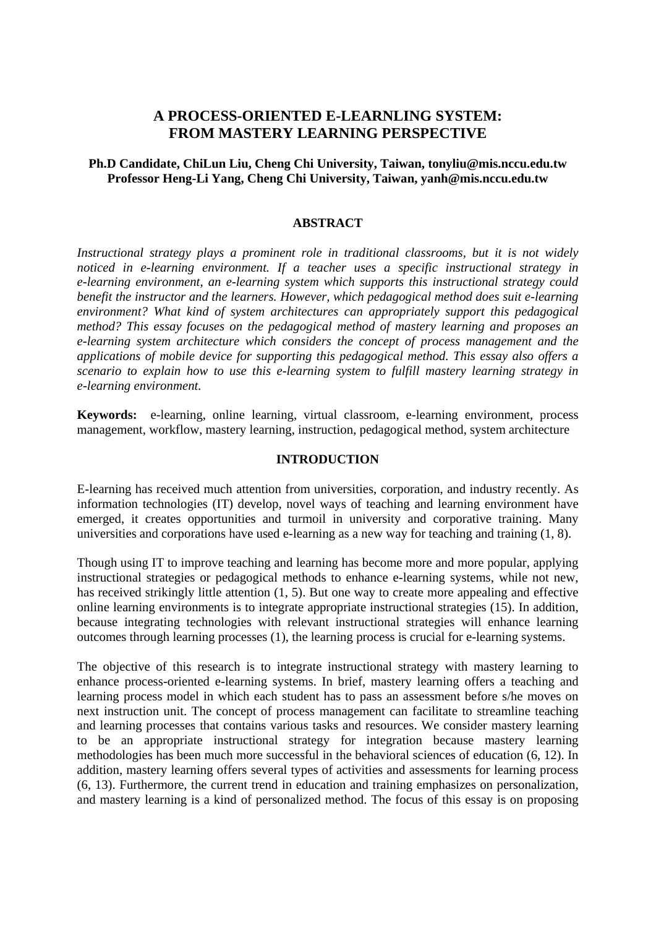# **A PROCESS-ORIENTED E-LEARNLING SYSTEM: FROM MASTERY LEARNING PERSPECTIVE**

# **Ph.D Candidate, ChiLun Liu, Cheng Chi University, Taiwan, tonyliu@mis.nccu.edu.tw Professor Heng-Li Yang, Cheng Chi University, Taiwan, yanh@mis.nccu.edu.tw**

#### **ABSTRACT**

*Instructional strategy plays a prominent role in traditional classrooms, but it is not widely noticed in e-learning environment. If a teacher uses a specific instructional strategy in e-learning environment, an e-learning system which supports this instructional strategy could benefit the instructor and the learners. However, which pedagogical method does suit e-learning environment? What kind of system architectures can appropriately support this pedagogical method? This essay focuses on the pedagogical method of mastery learning and proposes an e-learning system architecture which considers the concept of process management and the applications of mobile device for supporting this pedagogical method. This essay also offers a scenario to explain how to use this e-learning system to fulfill mastery learning strategy in e-learning environment.* 

**Keywords:** e-learning, online learning, virtual classroom, e-learning environment, process management, workflow, mastery learning, instruction, pedagogical method, system architecture

### **INTRODUCTION**

E-learning has received much attention from universities, corporation, and industry recently. As information technologies (IT) develop, novel ways of teaching and learning environment have emerged, it creates opportunities and turmoil in university and corporative training. Many universities and corporations have used e-learning as a new way for teaching and training (1, 8).

Though using IT to improve teaching and learning has become more and more popular, applying instructional strategies or pedagogical methods to enhance e-learning systems, while not new, has received strikingly little attention (1, 5). But one way to create more appealing and effective online learning environments is to integrate appropriate instructional strategies (15). In addition, because integrating technologies with relevant instructional strategies will enhance learning outcomes through learning processes (1), the learning process is crucial for e-learning systems.

The objective of this research is to integrate instructional strategy with mastery learning to enhance process-oriented e-learning systems. In brief, mastery learning offers a teaching and learning process model in which each student has to pass an assessment before s/he moves on next instruction unit. The concept of process management can facilitate to streamline teaching and learning processes that contains various tasks and resources. We consider mastery learning to be an appropriate instructional strategy for integration because mastery learning methodologies has been much more successful in the behavioral sciences of education (6, 12). In addition, mastery learning offers several types of activities and assessments for learning process (6, 13). Furthermore, the current trend in education and training emphasizes on personalization, and mastery learning is a kind of personalized method. The focus of this essay is on proposing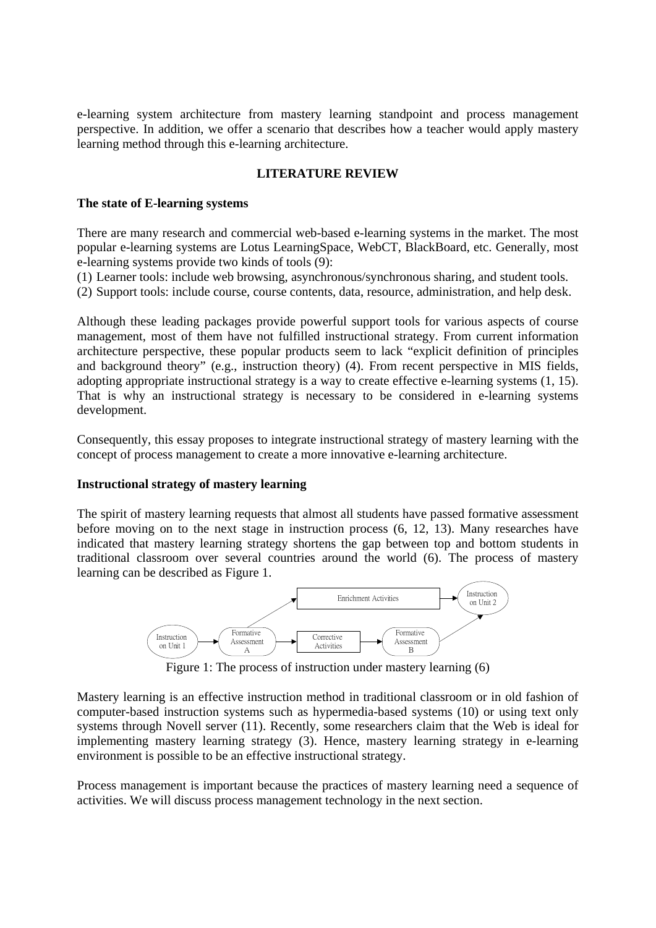e-learning system architecture from mastery learning standpoint and process management perspective. In addition, we offer a scenario that describes how a teacher would apply mastery learning method through this e-learning architecture.

# **LITERATURE REVIEW**

### **The state of E-learning systems**

There are many research and commercial web-based e-learning systems in the market. The most popular e-learning systems are Lotus LearningSpace, WebCT, BlackBoard, etc. Generally, most e-learning systems provide two kinds of tools (9):

(1) Learner tools: include web browsing, asynchronous/synchronous sharing, and student tools.

(2) Support tools: include course, course contents, data, resource, administration, and help desk.

Although these leading packages provide powerful support tools for various aspects of course management, most of them have not fulfilled instructional strategy. From current information architecture perspective, these popular products seem to lack "explicit definition of principles and background theory" (e.g., instruction theory) (4). From recent perspective in MIS fields, adopting appropriate instructional strategy is a way to create effective e-learning systems (1, 15). That is why an instructional strategy is necessary to be considered in e-learning systems development.

Consequently, this essay proposes to integrate instructional strategy of mastery learning with the concept of process management to create a more innovative e-learning architecture.

### **Instructional strategy of mastery learning**

The spirit of mastery learning requests that almost all students have passed formative assessment before moving on to the next stage in instruction process (6, 12, 13). Many researches have indicated that mastery learning strategy shortens the gap between top and bottom students in traditional classroom over several countries around the world (6). The process of mastery learning can be described as Figure 1.



Figure 1: The process of instruction under mastery learning (6)

Mastery learning is an effective instruction method in traditional classroom or in old fashion of computer-based instruction systems such as hypermedia-based systems (10) or using text only systems through Novell server (11). Recently, some researchers claim that the Web is ideal for implementing mastery learning strategy (3). Hence, mastery learning strategy in e-learning environment is possible to be an effective instructional strategy.

Process management is important because the practices of mastery learning need a sequence of activities. We will discuss process management technology in the next section.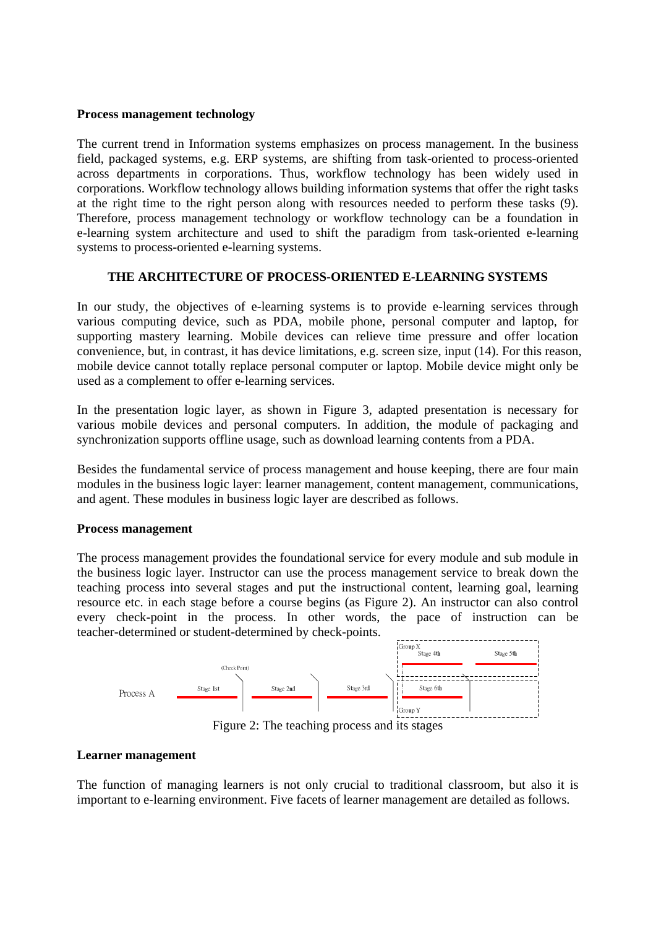### **Process management technology**

The current trend in Information systems emphasizes on process management. In the business field, packaged systems, e.g. ERP systems, are shifting from task-oriented to process-oriented across departments in corporations. Thus, workflow technology has been widely used in corporations. Workflow technology allows building information systems that offer the right tasks at the right time to the right person along with resources needed to perform these tasks (9). Therefore, process management technology or workflow technology can be a foundation in e-learning system architecture and used to shift the paradigm from task-oriented e-learning systems to process-oriented e-learning systems.

# **THE ARCHITECTURE OF PROCESS-ORIENTED E-LEARNING SYSTEMS**

In our study, the objectives of e-learning systems is to provide e-learning services through various computing device, such as PDA, mobile phone, personal computer and laptop, for supporting mastery learning. Mobile devices can relieve time pressure and offer location convenience, but, in contrast, it has device limitations, e.g. screen size, input (14). For this reason, mobile device cannot totally replace personal computer or laptop. Mobile device might only be used as a complement to offer e-learning services.

In the presentation logic layer, as shown in Figure 3, adapted presentation is necessary for various mobile devices and personal computers. In addition, the module of packaging and synchronization supports offline usage, such as download learning contents from a PDA.

Besides the fundamental service of process management and house keeping, there are four main modules in the business logic layer: learner management, content management, communications, and agent. These modules in business logic layer are described as follows.

### **Process management**

The process management provides the foundational service for every module and sub module in the business logic layer. Instructor can use the process management service to break down the teaching process into several stages and put the instructional content, learning goal, learning resource etc. in each stage before a course begins (as Figure 2). An instructor can also control every check-point in the process. In other words, the pace of instruction can be teacher-determined or student-determined by check-points.



Figure 2: The teaching process and its stages

# **Learner management**

The function of managing learners is not only crucial to traditional classroom, but also it is important to e-learning environment. Five facets of learner management are detailed as follows.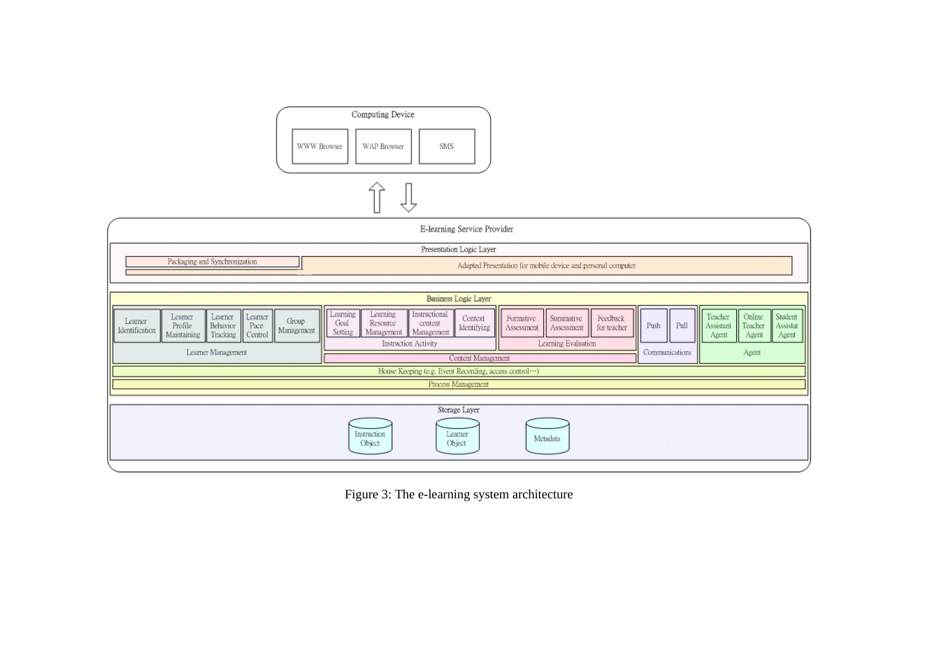

Figure 3: The e-learning system architecture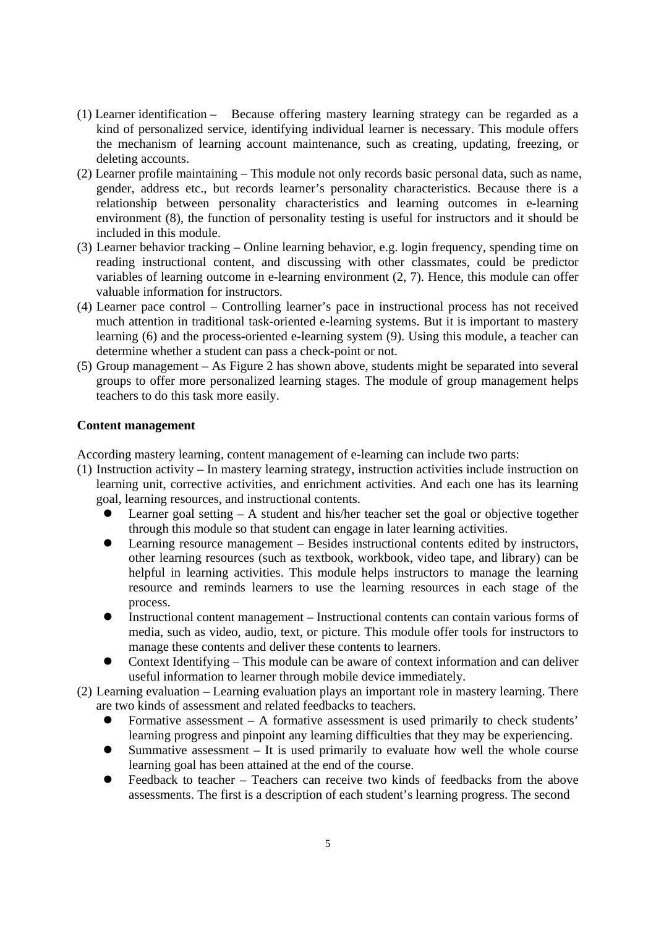- (1) Learner identification Because offering mastery learning strategy can be regarded as a kind of personalized service, identifying individual learner is necessary. This module offers the mechanism of learning account maintenance, such as creating, updating, freezing, or deleting accounts.
- (2) Learner profile maintaining This module not only records basic personal data, such as name, gender, address etc., but records learner's personality characteristics. Because there is a relationship between personality characteristics and learning outcomes in e-learning environment (8), the function of personality testing is useful for instructors and it should be included in this module.
- (3) Learner behavior tracking Online learning behavior, e.g. login frequency, spending time on reading instructional content, and discussing with other classmates, could be predictor variables of learning outcome in e-learning environment (2, 7). Hence, this module can offer valuable information for instructors.
- (4) Learner pace control Controlling learner's pace in instructional process has not received much attention in traditional task-oriented e-learning systems. But it is important to mastery learning (6) and the process-oriented e-learning system (9). Using this module, a teacher can determine whether a student can pass a check-point or not.
- (5) Group management As Figure 2 has shown above, students might be separated into several groups to offer more personalized learning stages. The module of group management helps teachers to do this task more easily.

# **Content management**

According mastery learning, content management of e-learning can include two parts:

- (1) Instruction activity In mastery learning strategy, instruction activities include instruction on learning unit, corrective activities, and enrichment activities. And each one has its learning goal, learning resources, and instructional contents.
	- Learner goal setting  $A$  student and his/her teacher set the goal or objective together through this module so that student can engage in later learning activities.
	- Learning resource management Besides instructional contents edited by instructors, other learning resources (such as textbook, workbook, video tape, and library) can be helpful in learning activities. This module helps instructors to manage the learning resource and reminds learners to use the learning resources in each stage of the process.
	- Instructional content management Instructional contents can contain various forms of media, such as video, audio, text, or picture. This module offer tools for instructors to manage these contents and deliver these contents to learners.
	- z Context Identifying This module can be aware of context information and can deliver useful information to learner through mobile device immediately.

(2) Learning evaluation – Learning evaluation plays an important role in mastery learning. There are two kinds of assessment and related feedbacks to teachers.

- Formative assessment  $-$  A formative assessment is used primarily to check students' learning progress and pinpoint any learning difficulties that they may be experiencing.
- Summative assessment  $-$  It is used primarily to evaluate how well the whole course learning goal has been attained at the end of the course.
- Feedback to teacher Teachers can receive two kinds of feedbacks from the above assessments. The first is a description of each student's learning progress. The second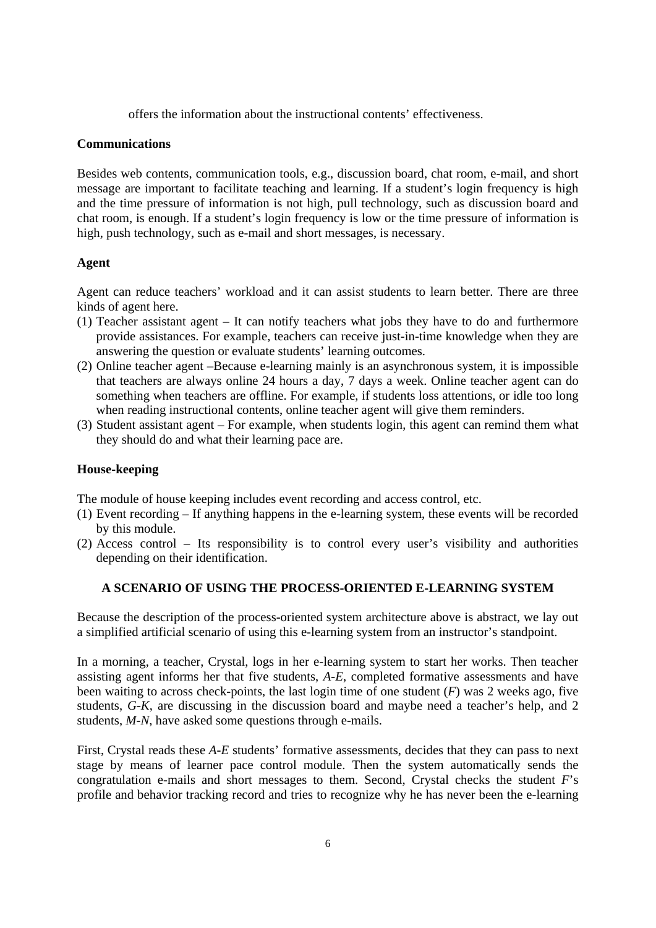offers the information about the instructional contents' effectiveness.

### **Communications**

Besides web contents, communication tools, e.g., discussion board, chat room, e-mail, and short message are important to facilitate teaching and learning. If a student's login frequency is high and the time pressure of information is not high, pull technology, such as discussion board and chat room, is enough. If a student's login frequency is low or the time pressure of information is high, push technology, such as e-mail and short messages, is necessary.

### **Agent**

Agent can reduce teachers' workload and it can assist students to learn better. There are three kinds of agent here.

- (1) Teacher assistant agent It can notify teachers what jobs they have to do and furthermore provide assistances. For example, teachers can receive just-in-time knowledge when they are answering the question or evaluate students' learning outcomes.
- (2) Online teacher agent –Because e-learning mainly is an asynchronous system, it is impossible that teachers are always online 24 hours a day, 7 days a week. Online teacher agent can do something when teachers are offline. For example, if students loss attentions, or idle too long when reading instructional contents, online teacher agent will give them reminders.
- (3) Student assistant agent For example, when students login, this agent can remind them what they should do and what their learning pace are.

### **House-keeping**

The module of house keeping includes event recording and access control, etc.

- (1) Event recording If anything happens in the e-learning system, these events will be recorded by this module.
- (2) Access control Its responsibility is to control every user's visibility and authorities depending on their identification.

# **A SCENARIO OF USING THE PROCESS-ORIENTED E-LEARNING SYSTEM**

Because the description of the process-oriented system architecture above is abstract, we lay out a simplified artificial scenario of using this e-learning system from an instructor's standpoint.

In a morning, a teacher, Crystal, logs in her e-learning system to start her works. Then teacher assisting agent informs her that five students, *A-E*, completed formative assessments and have been waiting to across check-points, the last login time of one student (*F*) was 2 weeks ago, five students, *G-K*, are discussing in the discussion board and maybe need a teacher's help, and 2 students, *M-N*, have asked some questions through e-mails.

First, Crystal reads these *A-E* students' formative assessments, decides that they can pass to next stage by means of learner pace control module. Then the system automatically sends the congratulation e-mails and short messages to them. Second, Crystal checks the student *F*'s profile and behavior tracking record and tries to recognize why he has never been the e-learning